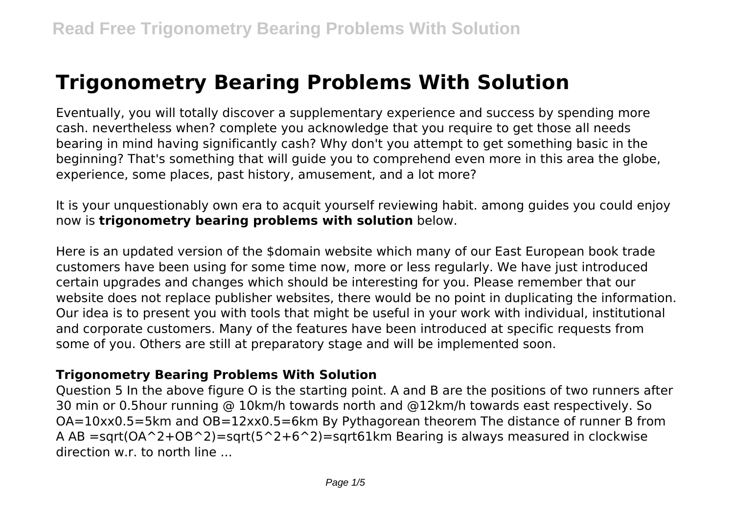# **Trigonometry Bearing Problems With Solution**

Eventually, you will totally discover a supplementary experience and success by spending more cash. nevertheless when? complete you acknowledge that you require to get those all needs bearing in mind having significantly cash? Why don't you attempt to get something basic in the beginning? That's something that will guide you to comprehend even more in this area the globe, experience, some places, past history, amusement, and a lot more?

It is your unquestionably own era to acquit yourself reviewing habit. among guides you could enjoy now is **trigonometry bearing problems with solution** below.

Here is an updated version of the \$domain website which many of our East European book trade customers have been using for some time now, more or less regularly. We have just introduced certain upgrades and changes which should be interesting for you. Please remember that our website does not replace publisher websites, there would be no point in duplicating the information. Our idea is to present you with tools that might be useful in your work with individual, institutional and corporate customers. Many of the features have been introduced at specific requests from some of you. Others are still at preparatory stage and will be implemented soon.

# **Trigonometry Bearing Problems With Solution**

Question 5 In the above figure O is the starting point. A and B are the positions of two runners after 30 min or 0.5hour running @ 10km/h towards north and @12km/h towards east respectively. So OA=10xx0.5=5km and OB=12xx0.5=6km By Pythagorean theorem The distance of runner B from A AB =sqrt( $OA^2+OB^2$ )=sqrt( $5^2+6^2$ )=sqrt61km Bearing is always measured in clockwise direction w.r. to north line ...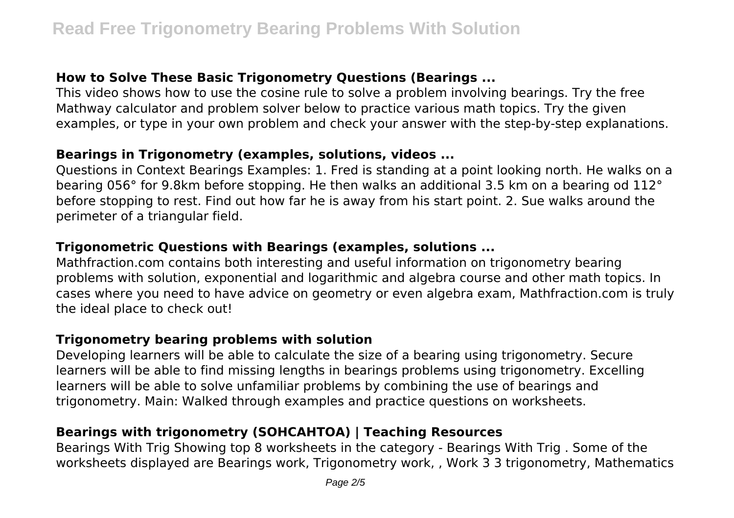# **How to Solve These Basic Trigonometry Questions (Bearings ...**

This video shows how to use the cosine rule to solve a problem involving bearings. Try the free Mathway calculator and problem solver below to practice various math topics. Try the given examples, or type in your own problem and check your answer with the step-by-step explanations.

#### **Bearings in Trigonometry (examples, solutions, videos ...**

Questions in Context Bearings Examples: 1. Fred is standing at a point looking north. He walks on a bearing 056° for 9.8km before stopping. He then walks an additional 3.5 km on a bearing od 112° before stopping to rest. Find out how far he is away from his start point. 2. Sue walks around the perimeter of a triangular field.

# **Trigonometric Questions with Bearings (examples, solutions ...**

Mathfraction.com contains both interesting and useful information on trigonometry bearing problems with solution, exponential and logarithmic and algebra course and other math topics. In cases where you need to have advice on geometry or even algebra exam, Mathfraction.com is truly the ideal place to check out!

# **Trigonometry bearing problems with solution**

Developing learners will be able to calculate the size of a bearing using trigonometry. Secure learners will be able to find missing lengths in bearings problems using trigonometry. Excelling learners will be able to solve unfamiliar problems by combining the use of bearings and trigonometry. Main: Walked through examples and practice questions on worksheets.

# **Bearings with trigonometry (SOHCAHTOA) | Teaching Resources**

Bearings With Trig Showing top 8 worksheets in the category - Bearings With Trig . Some of the worksheets displayed are Bearings work, Trigonometry work, , Work 3 3 trigonometry, Mathematics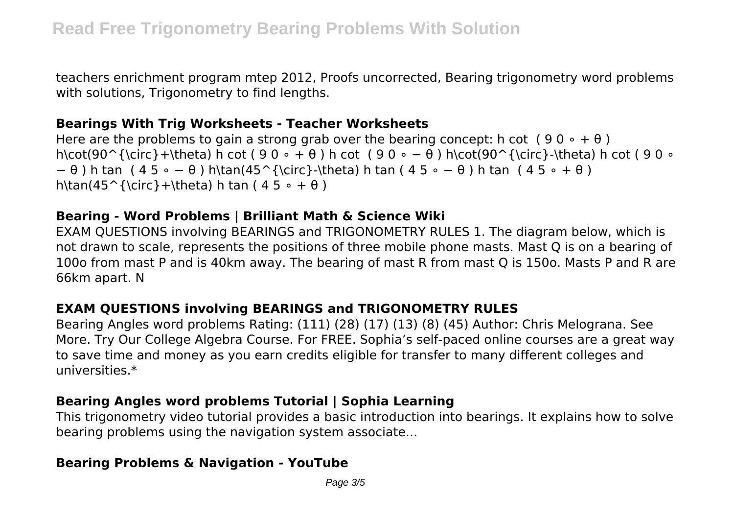teachers enrichment program mtep 2012, Proofs uncorrected, Bearing trigonometry word problems with solutions. Trigonometry to find lengths.

#### **Bearings With Trig Worksheets - Teacher Worksheets**

Here are the problems to gain a strong grab over the bearing concept: h cot  $(90 \circ + \theta)$ h\cot(90^{\circ}+\theta) h cot ( 9 0 ∘ + θ ) h cot ( 9 0 ∘ − θ ) h\cot(90^{\circ}-\theta) h cot ( 9 0 ∘ − θ ) h tan ( 4 5 ∘ − θ ) h\tan(45^{\circ}-\theta) h tan ( 4 5 ∘ − θ ) h tan ( 4 5 ∘ + θ ) h\tan(45^{\circ}+\theta) h tan (  $45 \circ + \theta$  )

#### **Bearing - Word Problems | Brilliant Math & Science Wiki**

EXAM QUESTIONS involving BEARINGS and TRIGONOMETRY RULES 1. The diagram below, which is not drawn to scale, represents the positions of three mobile phone masts. Mast Q is on a bearing of 100o from mast P and is 40km away. The bearing of mast R from mast Q is 150o. Masts P and R are 66km apart. N

# **EXAM QUESTIONS involving BEARINGS and TRIGONOMETRY RULES**

Bearing Angles word problems Rating: (111) (28) (17) (13) (8) (45) Author: Chris Melograna. See More. Try Our College Algebra Course. For FREE. Sophia's self-paced online courses are a great way to save time and money as you earn credits eligible for transfer to many different colleges and universities.\*

# **Bearing Angles word problems Tutorial | Sophia Learning**

This trigonometry video tutorial provides a basic introduction into bearings. It explains how to solve bearing problems using the navigation system associate...

# **Bearing Problems & Navigation - YouTube**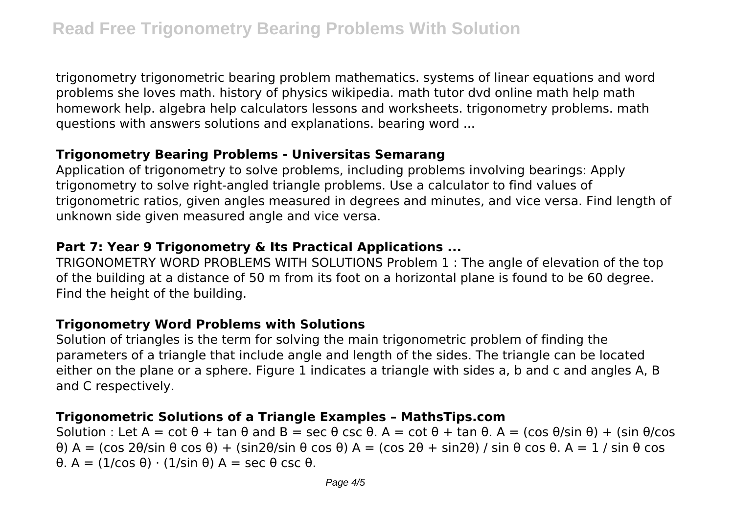trigonometry trigonometric bearing problem mathematics. systems of linear equations and word problems she loves math. history of physics wikipedia. math tutor dvd online math help math homework help. algebra help calculators lessons and worksheets. trigonometry problems. math questions with answers solutions and explanations. bearing word ...

# **Trigonometry Bearing Problems - Universitas Semarang**

Application of trigonometry to solve problems, including problems involving bearings: Apply trigonometry to solve right-angled triangle problems. Use a calculator to find values of trigonometric ratios, given angles measured in degrees and minutes, and vice versa. Find length of unknown side given measured angle and vice versa.

# **Part 7: Year 9 Trigonometry & Its Practical Applications ...**

TRIGONOMETRY WORD PROBLEMS WITH SOLUTIONS Problem 1 : The angle of elevation of the top of the building at a distance of 50 m from its foot on a horizontal plane is found to be 60 degree. Find the height of the building.

# **Trigonometry Word Problems with Solutions**

Solution of triangles is the term for solving the main trigonometric problem of finding the parameters of a triangle that include angle and length of the sides. The triangle can be located either on the plane or a sphere. Figure 1 indicates a triangle with sides a, b and c and angles A, B and C respectively.

# **Trigonometric Solutions of a Triangle Examples – MathsTips.com**

Solution : Let  $A = \cot \theta + \tan \theta$  and  $B = \sec \theta \csc \theta$ .  $A = \cot \theta + \tan \theta$ .  $A = (\cos \theta / \sin \theta) + (\sin \theta / \cos \theta)$ θ) A = (cos 2θ/sin θ cos θ) + (sin2θ/sin θ cos θ) A = (cos 2θ + sin2θ) / sin θ cos θ. A = 1 / sin θ cos θ. A = (1/cos θ) ⋅ (1/sin θ) A = sec θ csc θ.